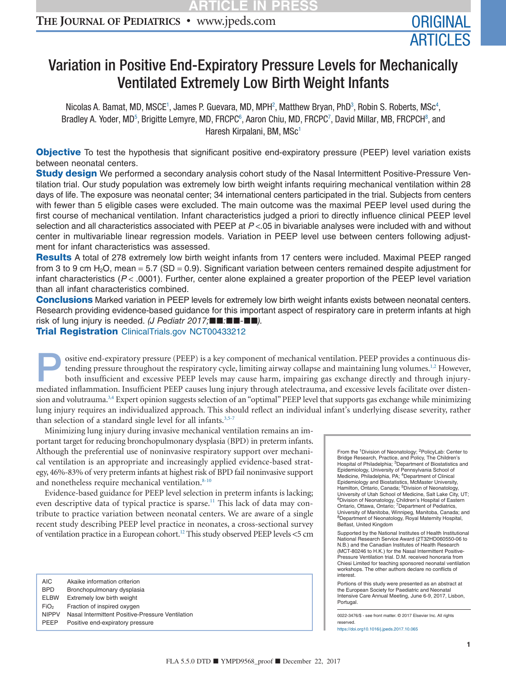# **THE JOURNAL OF PEDIATRICS •** www.jpeds.com ORIGINAL

# Variation in Positive End-Expiratory Pressure Levels for Mechanically Ventilated Extremely Low Birth Weight Infants

Nicolas A. Bamat, MD, MSCE<sup>1</sup>, James P. Guevara, MD, MPH<sup>2</sup>, Matthew Bryan, PhD<sup>3</sup>, Robin S. Roberts, MSc<sup>4</sup>, Bradley A. Yoder, MD<sup>5</sup>, Brigitte Lemyre, MD, FRCPC<sup>6</sup>, Aaron Chiu, MD, FRCPC<sup>7</sup>, David Millar, MB, FRCPCH<sup>8</sup>, and Haresh Kirpalani, BM, MSc<sup>1</sup>

**Objective** To test the hypothesis that significant positive end-expiratory pressure (PEEP) level variation exists between neonatal centers.

**Study design** We performed a secondary analysis cohort study of the Nasal Intermittent Positive-Pressure Ventilation trial. Our study population was extremely low birth weight infants requiring mechanical ventilation within 28 days of life. The exposure was neonatal center; 34 international centers participated in the trial. Subjects from centers with fewer than 5 eligible cases were excluded. The main outcome was the maximal PEEP level used during the first course of mechanical ventilation. Infant characteristics judged a priori to directly influence clinical PEEP level selection and all characteristics associated with PEEP at *P* <.05 in bivariable analyses were included with and without center in multivariable linear regression models. Variation in PEEP level use between centers following adjustment for infant characteristics was assessed.

Results A total of 278 extremely low birth weight infants from 17 centers were included. Maximal PEEP ranged from 3 to 9 cm  $H_2O$ , mean = 5.7 (SD = 0.9). Significant variation between centers remained despite adjustment for infant characteristics (*P* < .0001). Further, center alone explained a greater proportion of the PEEP level variation than all infant characteristics combined.

Conclusions Marked variation in PEEP levels for extremely low birth weight infants exists between neonatal centers. Research providing evidence-based guidance for this important aspect of respiratory care in preterm infants at high risk of lung injury is needed. (J Pediatr 2017;■■:■■-■■).

**Trial Registration** [ClinicalTrials.gov](http://ClinicalTrials.gov) NCT00433212

ositive end-expiratory pressure (PEEP) is a key component of mechanical ventilation. PEEP provides a continuous dis-<br>tending pressure throughout the respiratory cycle, limiting airway collapse and maintaining lung volumes. tending pressure throughout the respiratory cycle, limiting airway collapse and maintaining lung volumes.<sup>1,2</sup> However, both insufficient and excessive PEEP levels may cause harm, impairing gas exchange directly and through injurymediated inflammation. Insufficient PEEP causes lung injury through atelectrauma, and excessive levels facilitate over distension and volutrauma.<sup>3,4</sup> Expert opinion suggests selection of an "optimal" PEEP level that supports gas exchange while minimizing lung injury requires an individualized approach. This should reflect an individual infant's underlying disease severity, rather than selection of a standard single level for all infants.<sup>3,5-7</sup>

Minimizing lung injury during invasive mechanical ventilation remains an important target for reducing bronchopulmonary dysplasia (BPD) in preterm infants. Although the preferential use of noninvasive respiratory support over mechanical ventilation is an appropriate and increasingly applied evidence-based strategy, 46%-83% of very preterm infants at highest risk of BPD fail noninvasive support and nonetheless require mechanical ventilation.<sup>8-10</sup>

Evidence-based guidance for PEEP level selection in preterm infants is lacking; even descriptive data of typical practice is sparse.<sup>11</sup> This lack of data may contribute to practice variation between neonatal centers. We are aware of a single recent study describing PEEP level practice in neonates, a cross-sectional survey of ventilation practice in a European cohort[.12](#page-5-4) This study observed PEEP levels <5 cm

| AIC              | Akaike information criterion                     |
|------------------|--------------------------------------------------|
| <b>BPD</b>       | Bronchopulmonary dysplasia                       |
| <b>ELBW</b>      | Extremely low birth weight                       |
| FiO <sub>2</sub> | Fraction of inspired oxygen                      |
| <b>NIPPV</b>     | Nasal Intermittent Positive-Pressure Ventilation |
| <b>PFFP</b>      | Positive end-expiratory pressure                 |
|                  |                                                  |

<span id="page-0-4"></span><span id="page-0-3"></span><span id="page-0-2"></span><span id="page-0-1"></span><span id="page-0-0"></span>From the 1Division of Neonatology; 2PolicyLab: Center to Bridge Research, Practice, and Policy, The Children's<br>Hospital of Philadelphia; <sup>3</sup>Department of Biostatistics and Epidemiology, University of Pennsylvania School of Medicine, Philadelphia, PA; 4Department of Clinical Epidemiology and Biostatistics, McMaster University, Hamilton, Ontario, Canada; 5Division of Neonatology, University of Utah School of Medicine, Salt Lake City, UT; 6Division of Neonatology, Children's Hospital of Eastern Ontario, Ottawa, Ontario; 7Department of Pediatrics, University of Manitoba, Winnipeg, Manitoba, Canada; and 8Department of Neonatology, Royal Maternity Hospital, Belfast, United Kingdom

<span id="page-0-7"></span><span id="page-0-6"></span><span id="page-0-5"></span>Supported by the National Institutes of Health Institutional National Research Service Award (2T32HD060550-06 to N.B.) and the Canadian Institutes of Health Research (MCT-80246 to H.K.) for the Nasal Intermittent Positive-Pressure Ventilation trial. D.M. received honoraria from Chiesi Limited for teaching sponsored neonatal ventilation workshops. The other authors declare no conflicts of interest.

Portions of this study were presented as an abstract at the European Society for Paediatric and Neonatal Intensive Care Annual Meeting, June 6-9, 2017, Lisbon, Portugal.

0022-3476/\$ - see front matter. © 2017 Elsevier Inc. All rights reserved. https://doi.org10.1016/j.jpeds.2017.10.065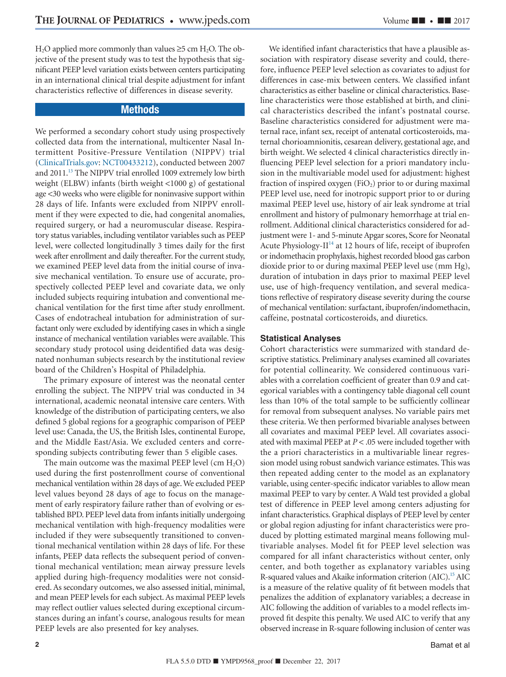$H<sub>2</sub>O$  applied more commonly than values  $\geq$ 5 cm  $H<sub>2</sub>O$ . The objective of the present study was to test the hypothesis that significant PEEP level variation exists between centers participating in an international clinical trial despite adjustment for infant characteristics reflective of differences in disease severity.

# **Methods**

We performed a secondary cohort study using prospectively collected data from the international, multicenter Nasal Intermittent Positive-Pressure Ventilation (NIPPV) trial [\(ClinicalTrials.gov:](http://ClinicalTrials.gov) NCT00433212), conducted between 2007 and 2011.<sup>13</sup> The NIPPV trial enrolled 1009 extremely low birth weight (ELBW) infants (birth weight <1000 g) of gestational age <30 weeks who were eligible for noninvasive support within 28 days of life. Infants were excluded from NIPPV enrollment if they were expected to die, had congenital anomalies, required surgery, or had a neuromuscular disease. Respiratory status variables, including ventilator variables such as PEEP level, were collected longitudinally 3 times daily for the first week after enrollment and daily thereafter. For the current study, we examined PEEP level data from the initial course of invasive mechanical ventilation. To ensure use of accurate, prospectively collected PEEP level and covariate data, we only included subjects requiring intubation and conventional mechanical ventilation for the first time after study enrollment. Cases of endotracheal intubation for administration of surfactant only were excluded by identifying cases in which a single instance of mechanical ventilation variables were available. This secondary study protocol using deidentified data was designated nonhuman subjects research by the institutional review board of the Children's Hospital of Philadelphia.

The primary exposure of interest was the neonatal center enrolling the subject. The NIPPV trial was conducted in 34 international, academic neonatal intensive care centers. With knowledge of the distribution of participating centers, we also defined 5 global regions for a geographic comparison of PEEP level use: Canada, the US, the British Isles, continental Europe, and the Middle East/Asia. We excluded centers and corresponding subjects contributing fewer than 5 eligible cases.

The main outcome was the maximal PEEP level  $(\text{cm H}_2\text{O})$ used during the first postenrollment course of conventional mechanical ventilation within 28 days of age.We excluded PEEP level values beyond 28 days of age to focus on the management of early respiratory failure rather than of evolving or established BPD. PEEP level data from infants initially undergoing mechanical ventilation with high-frequency modalities were included if they were subsequently transitioned to conventional mechanical ventilation within 28 days of life. For these infants, PEEP data reflects the subsequent period of conventional mechanical ventilation; mean airway pressure levels applied during high-frequency modalities were not considered. As secondary outcomes, we also assessed initial, minimal, and mean PEEP levels for each subject. As maximal PEEP levels may reflect outlier values selected during exceptional circumstances during an infant's course, analogous results for mean PEEP levels are also presented for key analyses.

We identified infant characteristics that have a plausible association with respiratory disease severity and could, therefore, influence PEEP level selection as covariates to adjust for differences in case-mix between centers. We classified infant characteristics as either baseline or clinical characteristics. Baseline characteristics were those established at birth, and clinical characteristics described the infant's postnatal course. Baseline characteristics considered for adjustment were maternal race, infant sex, receipt of antenatal corticosteroids, maternal chorioamnionitis, cesarean delivery, gestational age, and birth weight. We selected 4 clinical characteristics directly influencing PEEP level selection for a priori mandatory inclusion in the multivariable model used for adjustment: highest fraction of inspired oxygen  $(FiO<sub>2</sub>)$  prior to or during maximal PEEP level use, need for inotropic support prior to or during maximal PEEP level use, history of air leak syndrome at trial enrollment and history of pulmonary hemorrhage at trial enrollment. Additional clinical characteristics considered for adjustment were 1- and 5-minute Apgar scores, Score for Neonatal Acute Physiology-II $14$  at 12 hours of life, receipt of ibuprofen or indomethacin prophylaxis, highest recorded blood gas carbon dioxide prior to or during maximal PEEP level use (mm Hg), duration of intubation in days prior to maximal PEEP level use, use of high-frequency ventilation, and several medications reflective of respiratory disease severity during the course of mechanical ventilation: surfactant, ibuprofen/indomethacin, caffeine, postnatal corticosteroids, and diuretics.

#### **Statistical Analyses**

Cohort characteristics were summarized with standard descriptive statistics. Preliminary analyses examined all covariates for potential collinearity. We considered continuous variables with a correlation coefficient of greater than 0.9 and categorical variables with a contingency table diagonal cell count less than 10% of the total sample to be sufficiently collinear for removal from subsequent analyses. No variable pairs met these criteria. We then performed bivariable analyses between all covariates and maximal PEEP level. All covariates associated with maximal PEEP at *P* < .05 were included together with the a priori characteristics in a multivariable linear regression model using robust sandwich variance estimates. This was then repeated adding center to the model as an explanatory variable, using center-specific indicator variables to allow mean maximal PEEP to vary by center. A Wald test provided a global test of difference in PEEP level among centers adjusting for infant characteristics. Graphical displays of PEEP level by center or global region adjusting for infant characteristics were produced by plotting estimated marginal means following multivariable analyses. Model fit for PEEP level selection was compared for all infant characteristics without center, only center, and both together as explanatory variables using R-squared values and Akaike information criterion (AIC).<sup>15</sup> AIC is a measure of the relative quality of fit between models that penalizes the addition of explanatory variables; a decrease in AIC following the addition of variables to a model reflects improved fit despite this penalty. We used AIC to verify that any observed increase in R-square following inclusion of center was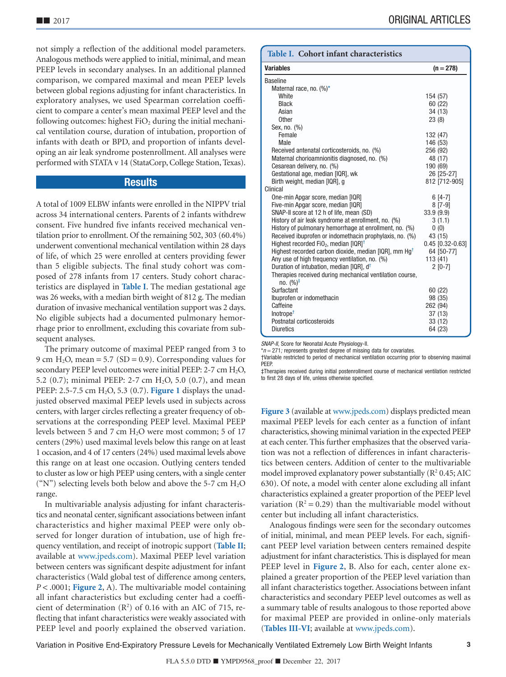not simply a reflection of the additional model parameters. Analogous methods were applied to initial, minimal, and mean PEEP levels in secondary analyses. In an additional planned comparison, we compared maximal and mean PEEP levels between global regions adjusting for infant characteristics. In exploratory analyses, we used Spearman correlation coefficient to compare a center's mean maximal PEEP level and the following outcomes: highest  $FiO<sub>2</sub>$  during the initial mechanical ventilation course, duration of intubation, proportion of infants with death or BPD, and proportion of infants developing an air leak syndrome postenrollment. All analyses were performed with STATA v 14 (StataCorp, College Station, Texas).

# **Results**

A total of 1009 ELBW infants were enrolled in the NIPPV trial across 34 international centers. Parents of 2 infants withdrew consent. Five hundred five infants received mechanical ventilation prior to enrollment. Of the remaining 502, 303 (60.4%) underwent conventional mechanical ventilation within 28 days of life, of which 25 were enrolled at centers providing fewer than 5 eligible subjects. The final study cohort was composed of 278 infants from 17 centers. Study cohort characteristics are displayed in **Table I**. The median gestational age was 26 weeks, with a median birth weight of 812 g. The median duration of invasive mechanical ventilation support was 2 days. No eligible subjects had a documented pulmonary hemorrhage prior to enrollment, excluding this covariate from subsequent analyses.

The primary outcome of maximal PEEP ranged from 3 to 9 cm H<sub>2</sub>O, mean = 5.7 (SD = 0.9). Corresponding values for secondary PEEP level outcomes were initial PEEP:  $2-7$  cm  $H_2O$ , 5.2 (0.7); minimal PEEP: 2-7 cm H2O, 5.0 (0.7), and mean PEEP: 2.5-7.5 cm H2O, 5.3 (0.7). **[Figure 1](#page-3-0)** displays the unadjusted observed maximal PEEP levels used in subjects across centers, with larger circles reflecting a greater frequency of observations at the corresponding PEEP level. Maximal PEEP levels between 5 and 7 cm H2O were most common; 5 of 17 centers (29%) used maximal levels below this range on at least 1 occasion, and 4 of 17 centers (24%) used maximal levels above this range on at least one occasion. Outlying centers tended to cluster as low or high PEEP using centers, with a single center ("N") selecting levels both below and above the 5-7 cm  $H_2O$ range.

In multivariable analysis adjusting for infant characteristics and neonatal center, significant associations between infant characteristics and higher maximal PEEP were only observed for longer duration of intubation, use of high frequency ventilation, and receipt of inotropic support (**[Table II](#page-7-0)**; available at [www.jpeds.com\)](http://www.jpeds.com). Maximal PEEP level variation between centers was significant despite adjustment for infant characteristics (Wald global test of difference among centers, *P* < .0001; **[Figure 2](#page-3-0)**, A). The multivariable model containing all infant characteristics but excluding center had a coefficient of determination  $(R^2)$  of 0.16 with an AIC of 715, reflecting that infant characteristics were weakly associated with PEEP level and poorly explained the observed variation.

#### **Table I. Cohort infant characteristics**

| <b>Variables</b>                                                                 | $(n = 278)$        |
|----------------------------------------------------------------------------------|--------------------|
| <b>Baseline</b>                                                                  |                    |
| Maternal race, no. $(\%)^*$                                                      |                    |
| <b>White</b>                                                                     | 154 (57)           |
| <b>Black</b>                                                                     | 60 (22)            |
| Asian                                                                            | 34 (13)            |
| <b>Other</b>                                                                     | 23(8)              |
| Sex, no. (%)                                                                     |                    |
| Female                                                                           | 132 (47)           |
| Male                                                                             | 146 (53)           |
| Received antenatal corticosteroids, no. (%)                                      | 256 (92)           |
| Maternal chorioamnionitis diagnosed, no. (%)                                     | 48 (17)            |
| Cesarean delivery, no. (%)                                                       | 190 (69)           |
| Gestational age, median [IQR], wk                                                | 26 [25-27]         |
| Birth weight, median [IQR], g                                                    | 812 [712-905]      |
| Clinical                                                                         |                    |
| One-min Apgar score, median [IQR]                                                | $6[4-7]$           |
| Five-min Apgar score, median [IQR]                                               | $8$ [7-9]          |
| SNAP-II score at 12 h of life, mean (SD)                                         | 33.9(9.9)          |
| History of air leak syndrome at enrollment, no. (%)                              | 3(1.1)             |
| History of pulmonary hemorrhage at enrollment, no. (%)                           | 0(0)               |
| Received ibuprofen or indomethacin prophylaxis, no. (%)                          | 43 (15)            |
| Highest recorded FiO <sub>2</sub> , median $[1 \text{QR}]^{\dagger}$             | $0.45$ [0.32-0.63] |
| Highest recorded carbon dioxide, median [IQR], mm Hg <sup>+</sup>                | 64 [50-77]         |
| Any use of high frequency ventilation, no. (%)                                   | 113(41)            |
| Duration of intubation, median [IQR], d <sup>+</sup>                             | $2 [0-7]$          |
| Therapies received during mechanical ventilation course,<br>$no. (%)^{\ddagger}$ |                    |
| Surfactant                                                                       | 60 (22)            |
| Ibuprofen or indomethacin                                                        | 98 (35)            |
| Caffeine                                                                         | 262 (94)           |
| Inotropic <sup>†</sup>                                                           | 37(13)             |
| Postnatal corticosteroids                                                        | 33 (12)            |
| <b>Diuretics</b>                                                                 | 64 (23)            |
|                                                                                  |                    |

SNAP-II, Score for Neonatal Acute Physiology-II.

<span id="page-2-1"></span><span id="page-2-0"></span>\*n = 271; represents greatest degree of missing data for covariates.<br>†Variable restricted to period of mechanical ventilation occurring prior to observing maxima **PFFP** 

<span id="page-2-2"></span>‡Therapies received during initial postenrollment course of mechanical ventilation restricted to first 28 days of life, unless otherwise specified.

**[Figure 3](#page-6-0)** (available at [www.jpeds.com\)](http://www.jpeds.com) displays predicted mean maximal PEEP levels for each center as a function of infant characteristics, showing minimal variation in the expected PEEP at each center. This further emphasizes that the observed variation was not a reflection of differences in infant characteristics between centers. Addition of center to the multivariable model improved explanatory power substantially  $(R^2 0.45; AIC)$ 630). Of note, a model with center alone excluding all infant characteristics explained a greater proportion of the PEEP level variation  $(R^2 = 0.29)$  than the multivariable model without center but including all infant characteristics.

Analogous findings were seen for the secondary outcomes of initial, minimal, and mean PEEP levels. For each, significant PEEP level variation between centers remained despite adjustment for infant characteristics. This is displayed for mean PEEP level in **[Figure 2](#page-3-0)**, B. Also for each, center alone explained a greater proportion of the PEEP level variation than all infant characteristics together. Associations between infant characteristics and secondary PEEP level outcomes as well as a summary table of results analogous to those reported above for maximal PEEP are provided in online-only materials (**[Tables III-VI](#page-8-0)**; available at [www.jpeds.com\)](http://www.jpeds.com).

Variation in Positive End-Expiratory Pressure Levels for Mechanically Ventilated Extremely Low Birth Weight Infants **3**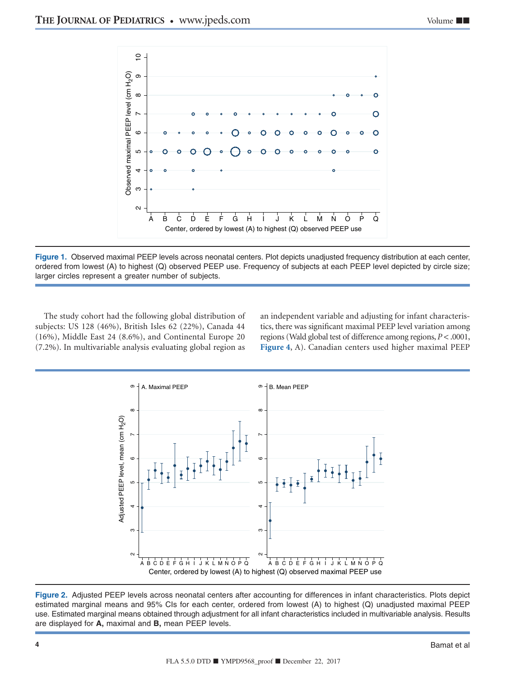<span id="page-3-0"></span>

**Figure 1.** Observed maximal PEEP levels across neonatal centers. Plot depicts unadjusted frequency distribution at each center, ordered from lowest (A) to highest (Q) observed PEEP use. Frequency of subjects at each PEEP level depicted by circle size; larger circles represent a greater number of subjects.

The study cohort had the following global distribution of subjects: US 128 (46%), British Isles 62 (22%), Canada 44 (16%), Middle East 24 (8.6%), and Continental Europe 20 (7.2%). In multivariable analysis evaluating global region as an independent variable and adjusting for infant characteristics, there was significant maximal PEEP level variation among regions (Wald global test of difference among regions, *P* < .0001, **[Figure 4](#page-4-0)**, A). Canadian centers used higher maximal PEEP



**Figure 2.** Adjusted PEEP levels across neonatal centers after accounting for differences in infant characteristics. Plots depict estimated marginal means and 95% CIs for each center, ordered from lowest (A) to highest (Q) unadjusted maximal PEEP use. Estimated marginal means obtained through adjustment for all infant characteristics included in multivariable analysis. Results are displayed for **A,** maximal and **B,** mean PEEP levels.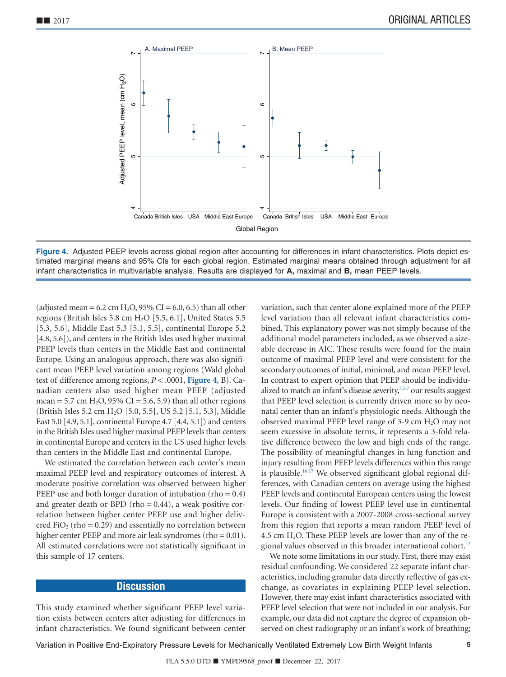<span id="page-4-0"></span>

**Figure 4.** Adjusted PEEP levels across global region after accounting for differences in infant characteristics. Plots depict estimated marginal means and 95% CIs for each global region. Estimated marginal means obtained through adjustment for all infant characteristics in multivariable analysis. Results are displayed for **A,** maximal and **B,** mean PEEP levels.

(adjusted mean = 6.2 cm H<sub>2</sub>O, 95% CI = 6.0, 6.5) than all other regions (British Isles 5.8 cm H2O [5.5, 6.1], United States 5.5 [5.3, 5.6], Middle East 5.3 [5.1, 5.5], continental Europe 5.2 [4.8, 5.6]), and centers in the British Isles used higher maximal PEEP levels than centers in the Middle East and continental Europe. Using an analogous approach, there was also significant mean PEEP level variation among regions (Wald global test of difference among regions, *P* < .0001, **Figure 4**, B). Canadian centers also used higher mean PEEP (adjusted mean = 5.7 cm  $H_2O$ , 95% CI = 5.6, 5.9) than all other regions (British Isles 5.2 cm H2O [5.0, 5.5], US 5.2 [5.1, 5.3], Middle East 5.0 [4.9, 5.1], continental Europe 4.7 [4.4, 5.1]) and centers in the British Isles used higher maximal PEEP levels than centers in continental Europe and centers in the US used higher levels than centers in the Middle East and continental Europe.

We estimated the correlation between each center's mean maximal PEEP level and respiratory outcomes of interest. A moderate positive correlation was observed between higher PEEP use and both longer duration of intubation (rho =  $0.4$ ) and greater death or BPD (rho  $= 0.44$ ), a weak positive correlation between higher center PEEP use and higher delivered FiO<sub>2</sub> (rho = 0.29) and essentially no correlation between higher center PEEP and more air leak syndromes (rho = 0.01). All estimated correlations were not statistically significant in this sample of 17 centers.

## **Discussion**

This study examined whether significant PEEP level variation exists between centers after adjusting for differences in infant characteristics. We found significant between-center variation, such that center alone explained more of the PEEP level variation than all relevant infant characteristics combined. This explanatory power was not simply because of the additional model parameters included, as we observed a sizeable decrease in AIC. These results were found for the main outcome of maximal PEEP level and were consistent for the secondary outcomes of initial, minimal, and mean PEEP level. In contrast to expert opinion that PEEP should be individualized to match an infant's disease severity,<sup>3,5-7</sup> our results suggest that PEEP level selection is currently driven more so by neonatal center than an infant's physiologic needs. Although the observed maximal PEEP level range of 3-9 cm  $H_2O$  may not seem excessive in absolute terms, it represents a 3-fold relative difference between the low and high ends of the range. The possibility of meaningful changes in lung function and injury resulting from PEEP levels differences within this range is plausible.<sup>16,17</sup> We observed significant global regional differences, with Canadian centers on average using the highest PEEP levels and continental European centers using the lowest levels. Our finding of lowest PEEP level use in continental Europe is consistent with a 2007-2008 cross-sectional survey from this region that reports a mean random PEEP level of 4.5 cm  $H_2O$ . These PEEP levels are lower than any of the regional values observed in this broader international cohort.<sup>12</sup>

We note some limitations in our study. First, there may exist residual confounding. We considered 22 separate infant characteristics, including granular data directly reflective of gas exchange, as covariates in explaining PEEP level selection. However, there may exist infant characteristics associated with PEEP level selection that were not included in our analysis. For example, our data did not capture the degree of expansion observed on chest radiography or an infant's work of breathing;

Variation in Positive End-Expiratory Pressure Levels for Mechanically Ventilated Extremely Low Birth Weight Infants **5**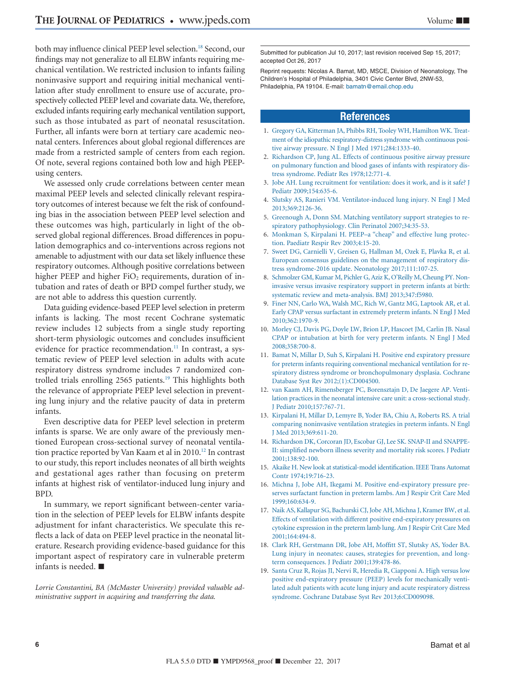both may influence clinical PEEP level selection.<sup>18</sup> Second, our findings may not generalize to all ELBW infants requiring mechanical ventilation. We restricted inclusion to infants failing noninvasive support and requiring initial mechanical ventilation after study enrollment to ensure use of accurate, prospectively collected PEEP level and covariate data.We, therefore, excluded infants requiring early mechanical ventilation support, such as those intubated as part of neonatal resuscitation. Further, all infants were born at tertiary care academic neonatal centers. Inferences about global regional differences are made from a restricted sample of centers from each region. Of note, several regions contained both low and high PEEPusing centers.

We assessed only crude correlations between center mean maximal PEEP levels and selected clinically relevant respiratory outcomes of interest because we felt the risk of confounding bias in the association between PEEP level selection and these outcomes was high, particularly in light of the observed global regional differences. Broad differences in population demographics and co-interventions across regions not amenable to adjustment with our data set likely influence these respiratory outcomes. Although positive correlations between higher PEEP and higher  $FiO<sub>2</sub>$  requirements, duration of intubation and rates of death or BPD compel further study, we are not able to address this question currently.

Data guiding evidence-based PEEP level selection in preterm infants is lacking. The most recent Cochrane systematic review includes 12 subjects from a single study reporting short-term physiologic outcomes and concludes insufficient evidence for practice recommendation.<sup>11</sup> In contrast, a systematic review of PEEP level selection in adults with acute respiratory distress syndrome includes 7 randomized controlled trials enrolling 2565 patients.<sup>19</sup> This highlights both the relevance of appropriate PEEP level selection in preventing lung injury and the relative paucity of data in preterm infants.

Even descriptive data for PEEP level selection in preterm infants is sparse. We are only aware of the previously mentioned European cross-sectional survey of neonatal ventilation practice reported by Van Kaam et al in 2010.<sup>12</sup> In contrast to our study, this report includes neonates of all birth weights and gestational ages rather than focusing on preterm infants at highest risk of ventilator-induced lung injury and BPD.

In summary, we report significant between-center variation in the selection of PEEP levels for ELBW infants despite adjustment for infant characteristics. We speculate this reflects a lack of data on PEEP level practice in the neonatal literature. Research providing evidence-based guidance for this important aspect of respiratory care in vulnerable preterm infants is needed. ■

*Lorrie Constantini, BA (McMaster University) provided valuable administrative support in acquiring and transferring the data.*

Submitted for publication Jul 10, 2017; last revision received Sep 15, 2017; accepted Oct 26, 2017

Reprint requests: Nicolas A. Bamat, MD, MSCE, Division of Neonatology, The Children's Hospital of Philadelphia, 3401 Civic Center Blvd, 2NW-53, Philadelphia, PA 19104. E-mail: [bamatn@email.chop.edu](mailto:bamatn@email.chop.edu)

# **References**

- <span id="page-5-0"></span>1. [Gregory GA, Kitterman JA, Phibbs RH, Tooley WH, Hamilton WK. Treat](http://refhub.elsevier.com/S0022-3476(17)31485-3/sr0010)[ment of the idiopathic respiratory-distress syndrome with continuous posi](http://refhub.elsevier.com/S0022-3476(17)31485-3/sr0010)[tive airway pressure. N Engl J Med 1971;284:1333-40.](http://refhub.elsevier.com/S0022-3476(17)31485-3/sr0010)
- 2. [Richardson CP, Jung AL. Effects of continuous positive airway pressure](http://refhub.elsevier.com/S0022-3476(17)31485-3/sr0015) [on pulmonary function and blood gases of infants with respiratory dis](http://refhub.elsevier.com/S0022-3476(17)31485-3/sr0015)[tress syndrome. Pediatr Res 1978;12:771-4.](http://refhub.elsevier.com/S0022-3476(17)31485-3/sr0015)
- <span id="page-5-1"></span>3. [Jobe AH. Lung recruitment for ventilation: does it work, and is it safe? J](http://refhub.elsevier.com/S0022-3476(17)31485-3/sr0020) [Pediatr 2009;154:635-6.](http://refhub.elsevier.com/S0022-3476(17)31485-3/sr0020)
- 4. [Slutsky AS, Ranieri VM. Ventilator-induced lung injury. N Engl J Med](http://refhub.elsevier.com/S0022-3476(17)31485-3/sr0025) [2013;369:2126-36.](http://refhub.elsevier.com/S0022-3476(17)31485-3/sr0025)
- 5. [Greenough A, Donn SM. Matching ventilatory support strategies to re](http://refhub.elsevier.com/S0022-3476(17)31485-3/sr0030)[spiratory pathophysiology. Clin Perinatol 2007;34:35-53.](http://refhub.elsevier.com/S0022-3476(17)31485-3/sr0030)
- 6. [Monkman S, Kirpalani H. PEEP–a "cheap" and effective lung protec](http://refhub.elsevier.com/S0022-3476(17)31485-3/sr0035)[tion. Paediatr Respir Rev 2003;4:15-20.](http://refhub.elsevier.com/S0022-3476(17)31485-3/sr0035)
- 7. [Sweet DG, Carnielli V, Greisen G, Hallman M, Ozek E, Plavka R, et al.](http://refhub.elsevier.com/S0022-3476(17)31485-3/sr0040) [European consensus guidelines on the management of respiratory dis](http://refhub.elsevier.com/S0022-3476(17)31485-3/sr0040)[tress syndrome-2016 update. Neonatology 2017;111:107-25.](http://refhub.elsevier.com/S0022-3476(17)31485-3/sr0040)
- <span id="page-5-2"></span>8. [Schmolzer GM, Kumar M, Pichler G, Aziz K, O'Reilly M, Cheung PY. Non](http://refhub.elsevier.com/S0022-3476(17)31485-3/sr0045)[invasive versus invasive respiratory support in preterm infants at birth:](http://refhub.elsevier.com/S0022-3476(17)31485-3/sr0045) [systematic review and meta-analysis. BMJ 2013;347:f5980.](http://refhub.elsevier.com/S0022-3476(17)31485-3/sr0045)
- 9. [Finer NN, Carlo WA, Walsh MC, Rich W, Gantz MG, Laptook AR, et al.](http://refhub.elsevier.com/S0022-3476(17)31485-3/sr0050) [Early CPAP versus surfactant in extremely preterm infants. N Engl J Med](http://refhub.elsevier.com/S0022-3476(17)31485-3/sr0050) [2010;362:1970-9.](http://refhub.elsevier.com/S0022-3476(17)31485-3/sr0050)
- 10. [Morley CJ, Davis PG, Doyle LW, Brion LP, Hascoet JM, Carlin JB. Nasal](http://refhub.elsevier.com/S0022-3476(17)31485-3/sr0055) [CPAP or intubation at birth for very preterm infants. N Engl J Med](http://refhub.elsevier.com/S0022-3476(17)31485-3/sr0055) [2008;358:700-8.](http://refhub.elsevier.com/S0022-3476(17)31485-3/sr0055)
- <span id="page-5-3"></span>11. [Bamat N, Millar D, Suh S, Kirpalani H. Positive end expiratory pressure](http://refhub.elsevier.com/S0022-3476(17)31485-3/sr0060) [for preterm infants requiring conventional mechanical ventilation for re](http://refhub.elsevier.com/S0022-3476(17)31485-3/sr0060)[spiratory distress syndrome or bronchopulmonary dysplasia. Cochrane](http://refhub.elsevier.com/S0022-3476(17)31485-3/sr0060) [Database Syst Rev 2012;\(1\):CD004500.](http://refhub.elsevier.com/S0022-3476(17)31485-3/sr0060)
- <span id="page-5-4"></span>12. [van Kaam AH, Rimensberger PC, Borensztajn D, De Jaegere AP. Venti](http://refhub.elsevier.com/S0022-3476(17)31485-3/sr0065)[lation practices in the neonatal intensive care unit: a cross-sectional study.](http://refhub.elsevier.com/S0022-3476(17)31485-3/sr0065) [J Pediatr 2010;157:767-71.](http://refhub.elsevier.com/S0022-3476(17)31485-3/sr0065)
- <span id="page-5-5"></span>13. [Kirpalani H, Millar D, Lemyre B, Yoder BA, Chiu A, Roberts RS. A trial](http://refhub.elsevier.com/S0022-3476(17)31485-3/sr0070) [comparing noninvasive ventilation strategies in preterm infants. N Engl](http://refhub.elsevier.com/S0022-3476(17)31485-3/sr0070) [J Med 2013;369:611-20.](http://refhub.elsevier.com/S0022-3476(17)31485-3/sr0070)
- <span id="page-5-6"></span>14. [Richardson DK, Corcoran JD, Escobar GJ, Lee SK. SNAP-II and SNAPPE-](http://refhub.elsevier.com/S0022-3476(17)31485-3/sr0075)[II: simplified newborn illness severity and mortality risk scores. J Pediatr](http://refhub.elsevier.com/S0022-3476(17)31485-3/sr0075) [2001;138:92-100.](http://refhub.elsevier.com/S0022-3476(17)31485-3/sr0075)
- <span id="page-5-7"></span>15. [Akaike H. New look at statistical-model identification. IEEE Trans Automat](http://refhub.elsevier.com/S0022-3476(17)31485-3/sr0080) [Contr 1974;19:716-23.](http://refhub.elsevier.com/S0022-3476(17)31485-3/sr0080)
- <span id="page-5-8"></span>16. [Michna J, Jobe AH, Ikegami M. Positive end-expiratory pressure pre](http://refhub.elsevier.com/S0022-3476(17)31485-3/sr0085)[serves surfactant function in preterm lambs. Am J Respir Crit Care Med](http://refhub.elsevier.com/S0022-3476(17)31485-3/sr0085) [1999;160:634-9.](http://refhub.elsevier.com/S0022-3476(17)31485-3/sr0085)
- 17. [Naik AS, Kallapur SG, Bachurski CJ, Jobe AH, Michna J, Kramer BW, et al.](http://refhub.elsevier.com/S0022-3476(17)31485-3/sr0090) [Effects of ventilation with different positive end-expiratory pressures on](http://refhub.elsevier.com/S0022-3476(17)31485-3/sr0090) [cytokine expression in the preterm lamb lung. Am J Respir Crit Care Med](http://refhub.elsevier.com/S0022-3476(17)31485-3/sr0090) [2001;164:494-8.](http://refhub.elsevier.com/S0022-3476(17)31485-3/sr0090)
- <span id="page-5-9"></span>18. [Clark RH, Gerstmann DR, Jobe AH, Moffitt ST, Slutsky AS, Yoder BA.](http://refhub.elsevier.com/S0022-3476(17)31485-3/sr0095) [Lung injury in neonates: causes, strategies for prevention, and long](http://refhub.elsevier.com/S0022-3476(17)31485-3/sr0095)[term consequences. J Pediatr 2001;139:478-86.](http://refhub.elsevier.com/S0022-3476(17)31485-3/sr0095)
- <span id="page-5-10"></span>19. [Santa Cruz R, Rojas JI, Nervi R, Heredia R, Ciapponi A. High versus low](http://refhub.elsevier.com/S0022-3476(17)31485-3/sr0100) [positive end-expiratory pressure \(PEEP\) levels for mechanically venti](http://refhub.elsevier.com/S0022-3476(17)31485-3/sr0100)[lated adult patients with acute lung injury and acute respiratory distress](http://refhub.elsevier.com/S0022-3476(17)31485-3/sr0100) [syndrome. Cochrane Database Syst Rev 2013;6:CD009098.](http://refhub.elsevier.com/S0022-3476(17)31485-3/sr0100)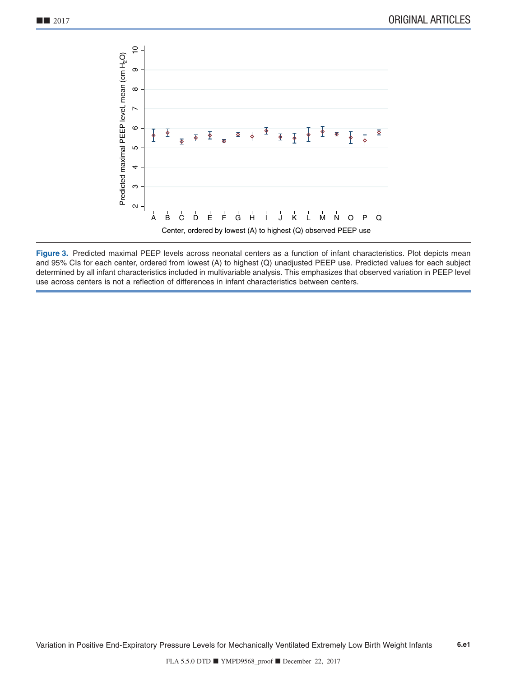<span id="page-6-0"></span>

**Figure 3.** Predicted maximal PEEP levels across neonatal centers as a function of infant characteristics. Plot depicts mean and 95% CIs for each center, ordered from lowest (A) to highest (Q) unadjusted PEEP use. Predicted values for each subject determined by all infant characteristics included in multivariable analysis. This emphasizes that observed variation in PEEP level use across centers is not a reflection of differences in infant characteristics between centers.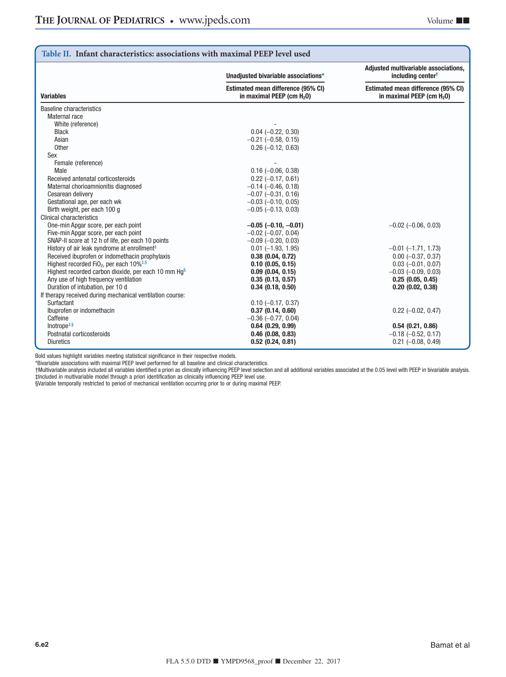<span id="page-7-0"></span>

| Table II. Infant characteristics: associations with maximal PEEP level used              |                                                                             |                                                                             |  |  |
|------------------------------------------------------------------------------------------|-----------------------------------------------------------------------------|-----------------------------------------------------------------------------|--|--|
|                                                                                          | Unadjusted bivariable associations*                                         | Adjusted multivariable associations,<br>including center <sup>+</sup>       |  |  |
| <b>Variables</b>                                                                         | Estimated mean difference (95% CI)<br>in maximal PEEP (cm H <sub>2</sub> 0) | Estimated mean difference (95% CI)<br>in maximal PEEP (cm H <sub>2</sub> 0) |  |  |
| Baseline characteristics                                                                 |                                                                             |                                                                             |  |  |
| Maternal race                                                                            |                                                                             |                                                                             |  |  |
| White (reference)                                                                        |                                                                             |                                                                             |  |  |
| <b>Black</b>                                                                             | $0.04 (-0.22, 0.30)$                                                        |                                                                             |  |  |
| Asian                                                                                    | $-0.21$ $(-0.58, 0.15)$                                                     |                                                                             |  |  |
| Other                                                                                    | $0.26$ (-0.12, 0.63)                                                        |                                                                             |  |  |
| Sex                                                                                      |                                                                             |                                                                             |  |  |
| Female (reference)                                                                       |                                                                             |                                                                             |  |  |
| Male                                                                                     | $0.16$ (-0.06, 0.38)                                                        |                                                                             |  |  |
| Received antenatal corticosteroids                                                       | $0.22$ (-0.17, 0.61)                                                        |                                                                             |  |  |
| Maternal chorioamnionitis diagnosed                                                      | $-0.14$ $(-0.46, 0.18)$                                                     |                                                                             |  |  |
| Cesarean delivery                                                                        | $-0.07$ $(-0.31, 0.16)$                                                     |                                                                             |  |  |
| Gestational age, per each wk                                                             | $-0.03$ $(-0.10, 0.05)$                                                     |                                                                             |  |  |
| Birth weight, per each 100 g                                                             | $-0.05$ $(-0.13, 0.03)$                                                     |                                                                             |  |  |
| Clinical characteristics                                                                 |                                                                             |                                                                             |  |  |
| One-min Apgar score, per each point                                                      | $-0.05$ ( $-0.10, -0.01$ )                                                  | $-0.02$ ( $-0.06$ , 0.03)                                                   |  |  |
| Five-min Apgar score, per each point                                                     | $-0.02$ ( $-0.07$ , 0.04)                                                   |                                                                             |  |  |
| SNAP-II score at 12 h of life, per each 10 points                                        | $-0.09$ $(-0.20, 0.03)$                                                     |                                                                             |  |  |
| History of air leak syndrome at enrollment <sup>‡</sup>                                  | $0.01$ $(-1.93, 1.95)$                                                      | $-0.01$ $(-1.71, 1.73)$                                                     |  |  |
| Received ibuprofen or indomethacin prophylaxis                                           | 0.38(0.04, 0.72)                                                            | $0.00 (-0.37, 0.37)$                                                        |  |  |
| Highest recorded FiO <sub>2</sub> , per each $10\%$ <sup><math>\frac{4}{5}</math>§</sup> | $0.10$ (0.05, 0.15)                                                         | $0.03$ (-0.01, 0.07)                                                        |  |  |
| Highest recorded carbon dioxide, per each 10 mm Hq <sup>§</sup>                          | $0.09$ (0.04, 0.15)                                                         | $-0.03$ $(-0.09, 0.03)$                                                     |  |  |
| Any use of high frequency ventilation                                                    | 0.35(0.13, 0.57)                                                            | 0.25(0.05, 0.45)                                                            |  |  |
| Duration of intubation, per 10 d                                                         | $0.34$ (0.18, 0.50)                                                         | 0.20(0.02, 0.38)                                                            |  |  |
| If therapy received during mechanical ventilation course:                                |                                                                             |                                                                             |  |  |
| Surfactant                                                                               | $0.10$ (-0.17, 0.37)                                                        |                                                                             |  |  |
| Ibuprofen or indomethacin                                                                | 0.37(0.14, 0.60)                                                            | $0.22$ (-0.02, 0.47)                                                        |  |  |
| Caffeine                                                                                 | $-0.36$ $(-0.77, 0.04)$                                                     |                                                                             |  |  |
| Inotrope <sup><math>#§</math></sup>                                                      | $0.64$ $(0.29, 0.99)$                                                       | 0.54(0.21, 0.86)                                                            |  |  |
| Postnatal corticosteroids                                                                | $0.46$ (0.08, 0.83)                                                         | $-0.18$ $(-0.52, 0.17)$                                                     |  |  |
| <b>Diuretics</b>                                                                         | $0.52$ (0.24, 0.81)                                                         | $0.21$ $(-0.08, 0.49)$                                                      |  |  |

<span id="page-7-1"></span>\*Bivariable associations with maximal PEEP level performed for all baseline and clinical characteristics.

<span id="page-7-3"></span><span id="page-7-2"></span>†Multivariable analysis included all variables identified a priori as clinically influencing PEEP level selection and all additional variables associated at the 0.05 level with PEEP in bivariable analysis. ‡Included in multivariable model through a priori identification as clinically influencing PEEP level use.

<span id="page-7-4"></span>§Variable temporally restricted to period of mechanical ventilation occurring prior to or during maximal PEEP.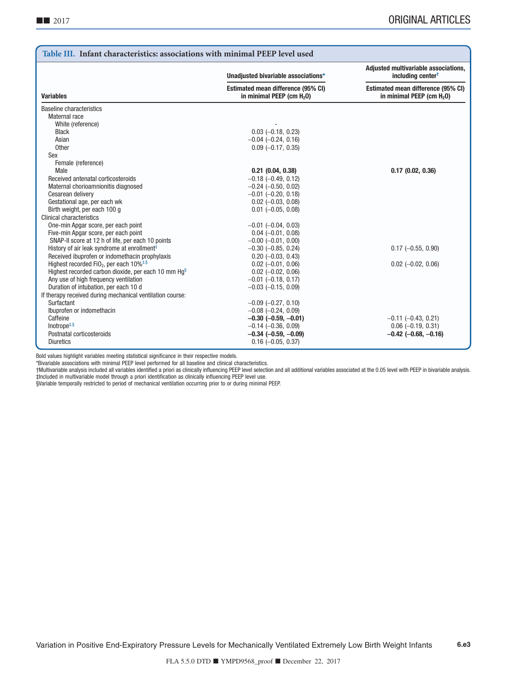<span id="page-8-0"></span>

| Table III. Infant characteristics: associations with minimal PEEP level used             |                                                                             |                                                                             |  |  |
|------------------------------------------------------------------------------------------|-----------------------------------------------------------------------------|-----------------------------------------------------------------------------|--|--|
|                                                                                          | Unadjusted bivariable associations*                                         | Adjusted multivariable associations,<br>including center <sup>t</sup>       |  |  |
| <b>Variables</b>                                                                         | Estimated mean difference (95% CI)<br>in minimal PEEP (cm H <sub>2</sub> 0) | Estimated mean difference (95% CI)<br>in minimal PEEP (cm H <sub>2</sub> 0) |  |  |
| <b>Baseline characteristics</b>                                                          |                                                                             |                                                                             |  |  |
| Maternal race                                                                            |                                                                             |                                                                             |  |  |
| White (reference)                                                                        |                                                                             |                                                                             |  |  |
| <b>Black</b>                                                                             | $0.03$ $(-0.18, 0.23)$                                                      |                                                                             |  |  |
| Asian                                                                                    | $-0.04$ $(-0.24, 0.16)$                                                     |                                                                             |  |  |
| Other                                                                                    | $0.09$ (-0.17, 0.35)                                                        |                                                                             |  |  |
| Sex                                                                                      |                                                                             |                                                                             |  |  |
| Female (reference)                                                                       |                                                                             |                                                                             |  |  |
| Male                                                                                     | $0.21$ $(0.04, 0.38)$                                                       | 0.17(0.02, 0.36)                                                            |  |  |
| Received antenatal corticosteroids                                                       | $-0.18$ $(-0.49, 0.12)$                                                     |                                                                             |  |  |
| Maternal chorioamnionitis diagnosed                                                      | $-0.24$ $(-0.50, 0.02)$                                                     |                                                                             |  |  |
| Cesarean delivery                                                                        | $-0.01$ $(-0.20, 0.18)$                                                     |                                                                             |  |  |
| Gestational age, per each wk                                                             | $0.02$ (-0.03, 0.08)                                                        |                                                                             |  |  |
| Birth weight, per each 100 g                                                             | $0.01$ (-0.05, 0.08)                                                        |                                                                             |  |  |
| Clinical characteristics                                                                 |                                                                             |                                                                             |  |  |
| One-min Apgar score, per each point                                                      | $-0.01$ $(-0.04, 0.03)$                                                     |                                                                             |  |  |
| Five-min Apgar score, per each point                                                     | $0.04 (-0.01, 0.08)$                                                        |                                                                             |  |  |
| SNAP-II score at 12 h of life, per each 10 points                                        | $-0.00$ $(-0.01, 0.00)$                                                     |                                                                             |  |  |
| History of air leak syndrome at enrollment <sup>‡</sup>                                  | $-0.30$ $(-0.85, 0.24)$                                                     | $0.17$ (-0.55, 0.90)                                                        |  |  |
| Received ibuprofen or indomethacin prophylaxis                                           | $0.20$ (-0.03, 0.43)                                                        |                                                                             |  |  |
| Highest recorded FiO <sub>2</sub> , per each $10\%$ <sup><math>\frac{4}{5}</math>§</sup> | $0.02$ (-0.01, 0.06)                                                        | $0.02$ (-0.02, 0.06)                                                        |  |  |
| Highest recorded carbon dioxide, per each 10 mm $Hq§$                                    | $0.02$ (-0.02, 0.06)                                                        |                                                                             |  |  |
| Any use of high frequency ventilation                                                    | $-0.01$ $(-0.18, 0.17)$                                                     |                                                                             |  |  |
| Duration of intubation, per each 10 d                                                    | $-0.03$ $(-0.15, 0.09)$                                                     |                                                                             |  |  |
| If therapy received during mechanical ventilation course:                                |                                                                             |                                                                             |  |  |
| Surfactant                                                                               | $-0.09$ $(-0.27, 0.10)$                                                     |                                                                             |  |  |
| Ibuprofen or indomethacin                                                                | $-0.08$ $(-0.24, 0.09)$                                                     |                                                                             |  |  |
| Caffeine<br>Inotrope <sup><math>\ddagger</math>,§</sup>                                  | $-0.30$ ( $-0.59$ , $-0.01$ )                                               | $-0.11$ $(-0.43, 0.21)$                                                     |  |  |
|                                                                                          | $-0.14$ $(-0.36, 0.09)$                                                     | $0.06$ (-0.19, 0.31)                                                        |  |  |
| Postnatal corticosteroids<br><b>Diuretics</b>                                            | $-0.34$ ( $-0.59$ , $-0.09$ )                                               | $-0.42$ ( $-0.68$ , $-0.16$ )                                               |  |  |
|                                                                                          | $0.16$ (-0.05, 0.37)                                                        |                                                                             |  |  |

<span id="page-8-1"></span>\*Bivariable associations with minimal PEEP level performed for all baseline and clinical characteristics.

<span id="page-8-3"></span><span id="page-8-2"></span>†Multivariable analysis included all variables identified a priori as clinically influencing PEEP level selection and all additional variables associated at the 0.05 level with PEEP in bivariable analysis. ‡Included in multivariable model through a priori identification as clinically influencing PEEP level use.

<span id="page-8-4"></span>§Variable temporally restricted to period of mechanical ventilation occurring prior to or during minimal PEEP.

Variation in Positive End-Expiratory Pressure Levels for Mechanically Ventilated Extremely Low Birth Weight Infants **6.e3**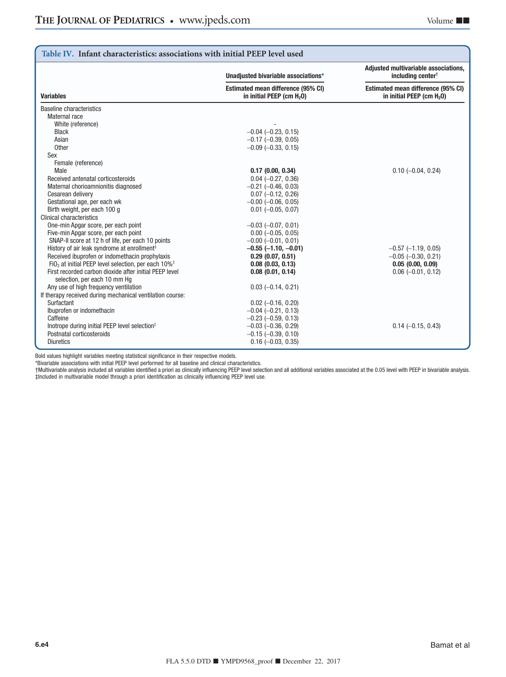| Table IV. Infant characteristics: associations with initial PEEP level used            |                                                                             |                                                                             |  |  |
|----------------------------------------------------------------------------------------|-----------------------------------------------------------------------------|-----------------------------------------------------------------------------|--|--|
|                                                                                        | Unadjusted bivariable associations*                                         | Adjusted multivariable associations,<br>including center <sup>+</sup>       |  |  |
| <b>Variables</b>                                                                       | Estimated mean difference (95% CI)<br>in initial PEEP (cm H <sub>2</sub> O) | Estimated mean difference (95% CI)<br>in initial PEEP (cm H <sub>2</sub> 0) |  |  |
| <b>Baseline characteristics</b>                                                        |                                                                             |                                                                             |  |  |
| Maternal race                                                                          |                                                                             |                                                                             |  |  |
| White (reference)                                                                      |                                                                             |                                                                             |  |  |
| <b>Black</b>                                                                           | $-0.04$ $(-0.23, 0.15)$                                                     |                                                                             |  |  |
| Asian                                                                                  | $-0.17$ $(-0.39, 0.05)$                                                     |                                                                             |  |  |
| Other                                                                                  | $-0.09$ $(-0.33, 0.15)$                                                     |                                                                             |  |  |
| Sex                                                                                    |                                                                             |                                                                             |  |  |
| Female (reference)                                                                     |                                                                             |                                                                             |  |  |
| Male                                                                                   | 0.17(0.00, 0.34)                                                            | $0.10 (-0.04, 0.24)$                                                        |  |  |
| Received antenatal corticosteroids                                                     | $0.04 (-0.27, 0.36)$                                                        |                                                                             |  |  |
| Maternal chorioamnionitis diagnosed                                                    | $-0.21$ $(-0.46, 0.03)$                                                     |                                                                             |  |  |
| Cesarean delivery                                                                      | $0.07$ (-0.12, 0.26)                                                        |                                                                             |  |  |
| Gestational age, per each wk                                                           | $-0.00$ $(-0.06, 0.05)$                                                     |                                                                             |  |  |
| Birth weight, per each 100 g                                                           | $0.01$ $(-0.05, 0.07)$                                                      |                                                                             |  |  |
| <b>Clinical characteristics</b>                                                        |                                                                             |                                                                             |  |  |
| One-min Apgar score, per each point                                                    | $-0.03$ $(-0.07, 0.01)$                                                     |                                                                             |  |  |
| Five-min Apgar score, per each point                                                   | $0.00$ (-0.05, 0.05)                                                        |                                                                             |  |  |
| SNAP-II score at 12 h of life, per each 10 points                                      | $-0.00$ $(-0.01, 0.01)$                                                     |                                                                             |  |  |
| History of air leak syndrome at enrollment <sup>‡</sup>                                | $-0.55$ (-1.10, -0.01)                                                      | $-0.57$ $(-1.19, 0.05)$                                                     |  |  |
| Received ibuprofen or indomethacin prophylaxis                                         | 0.29(0.07, 0.51)                                                            | $-0.05$ $(-0.30, 0.21)$                                                     |  |  |
| FiO <sub>2</sub> at initial PEEP level selection, per each $10\%^{\ddagger}$           | $0.08$ $(0.03, 0.13)$                                                       | 0.05(0.00, 0.09)                                                            |  |  |
| First recorded carbon dioxide after initial PEEP level<br>selection, per each 10 mm Hg | $0.08$ $(0.01, 0.14)$                                                       | $0.06$ (-0.01, 0.12)                                                        |  |  |
| Any use of high frequency ventilation                                                  | $0.03$ (-0.14, 0.21)                                                        |                                                                             |  |  |
| If therapy received during mechanical ventilation course:                              |                                                                             |                                                                             |  |  |
| Surfactant                                                                             | $0.02$ (-0.16, 0.20)                                                        |                                                                             |  |  |
| Ibuprofen or indomethacin                                                              | $-0.04$ $(-0.21, 0.13)$                                                     |                                                                             |  |  |
| Caffeine                                                                               | $-0.23$ $(-0.59, 0.13)$                                                     |                                                                             |  |  |
| Inotrope during initial PEEP level selection $*$                                       | $-0.03$ $(-0.36, 0.29)$                                                     | $0.14 (-0.15, 0.43)$                                                        |  |  |
| Postnatal corticosteroids                                                              | $-0.15$ $(-0.39, 0.10)$                                                     |                                                                             |  |  |
| <b>Diuretics</b>                                                                       | $0.16$ (-0.03, 0.35)                                                        |                                                                             |  |  |

<span id="page-9-0"></span>\*Bivariable associations with initial PEEP level performed for all baseline and clinical characteristics.

<span id="page-9-2"></span><span id="page-9-1"></span>†Multivariable analysis included all variables identified a priori as clinically influencing PEEP level selection and all additional variables associated at the 0.05 level with PEEP in bivariable analysis. ‡Included in multivariable model through a priori identification as clinically influencing PEEP level use.